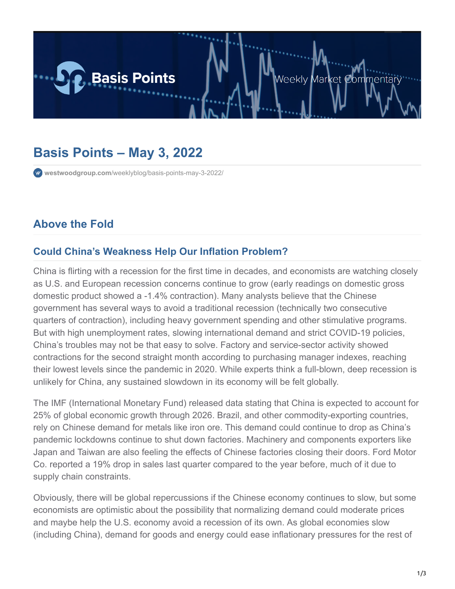

# **Basis Points – May 3, 2022**

**westwoodgroup.com**[/weeklyblog/basis-points-may-3-2022/](https://westwoodgroup.com/weeklyblog/basis-points-may-3-2022/)

# **Above the Fold**

### **Could China's Weakness Help Our Inflation Problem?**

China is flirting with a recession for the first time in decades, and economists are watching closely as U.S. and European recession concerns continue to grow (early readings on domestic gross domestic product showed a -1.4% contraction). Many analysts believe that the Chinese government has several ways to avoid a traditional recession (technically two consecutive quarters of contraction), including heavy government spending and other stimulative programs. But with high unemployment rates, slowing international demand and strict COVID-19 policies, China's troubles may not be that easy to solve. Factory and service-sector activity showed contractions for the second straight month according to purchasing manager indexes, reaching their lowest levels since the pandemic in 2020. While experts think a full-blown, deep recession is unlikely for China, any sustained slowdown in its economy will be felt globally.

The IMF (International Monetary Fund) released data stating that China is expected to account for 25% of global economic growth through 2026. Brazil, and other commodity-exporting countries, rely on Chinese demand for metals like iron ore. This demand could continue to drop as China's pandemic lockdowns continue to shut down factories. Machinery and components exporters like Japan and Taiwan are also feeling the effects of Chinese factories closing their doors. Ford Motor Co. reported a 19% drop in sales last quarter compared to the year before, much of it due to supply chain constraints.

Obviously, there will be global repercussions if the Chinese economy continues to slow, but some economists are optimistic about the possibility that normalizing demand could moderate prices and maybe help the U.S. economy avoid a recession of its own. As global economies slow (including China), demand for goods and energy could ease inflationary pressures for the rest of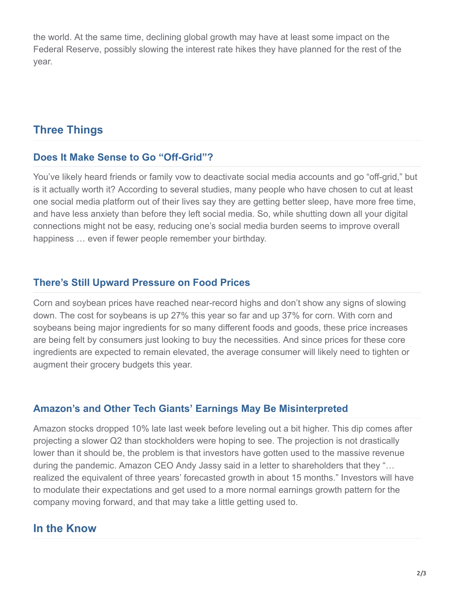the world. At the same time, declining global growth may have at least some impact on the Federal Reserve, possibly slowing the interest rate hikes they have planned for the rest of the year.

# **Three Things**

#### **Does It Make Sense to Go "Off-Grid"?**

You've likely heard friends or family vow to deactivate social media accounts and go "off-grid," but is it actually worth it? According to several studies, many people who have chosen to cut at least one social media platform out of their lives say they are getting better sleep, have more free time, and have less anxiety than before they left social media. So, while shutting down all your digital connections might not be easy, reducing one's social media burden seems to improve overall happiness … even if fewer people remember your birthday.

#### **There's Still Upward Pressure on Food Prices**

Corn and soybean prices have reached near-record highs and don't show any signs of slowing down. The cost for soybeans is up 27% this year so far and up 37% for corn. With corn and soybeans being major ingredients for so many different foods and goods, these price increases are being felt by consumers just looking to buy the necessities. And since prices for these core ingredients are expected to remain elevated, the average consumer will likely need to tighten or augment their grocery budgets this year.

### **Amazon's and Other Tech Giants' Earnings May Be Misinterpreted**

Amazon stocks dropped 10% late last week before leveling out a bit higher. This dip comes after projecting a slower Q2 than stockholders were hoping to see. The projection is not drastically lower than it should be, the problem is that investors have gotten used to the massive revenue during the pandemic. Amazon CEO Andy Jassy said in a letter to shareholders that they "… realized the equivalent of three years' forecasted growth in about 15 months." Investors will have to modulate their expectations and get used to a more normal earnings growth pattern for the company moving forward, and that may take a little getting used to.

## **In the Know**